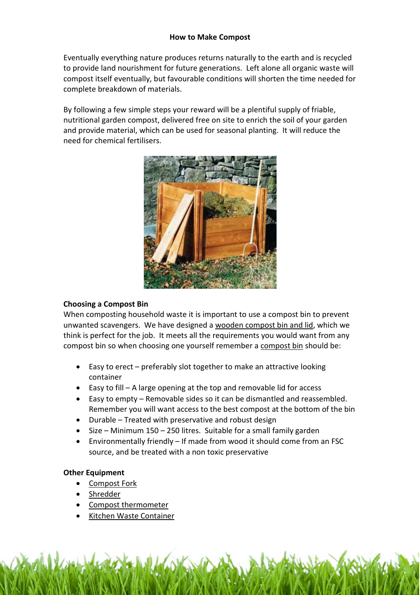Eventually everything nature produces returns naturally to the earth and is recycled to provide land nourishment for future generations. Left alone all organic waste will compost itself eventually, but favourable conditions will shorten the time needed for complete breakdown of materials.

By following a few simple steps your reward will be a plentiful supply of friable, nutritional garden compost, delivered free on site to enrich the soil of your garden and provide material, which can be used for seasonal planting. It will reduce the need for chemical fertilisers.



# Choosing a Compost Bin

When composting household waste it is important to use a compost bin to prevent unwanted scavengers. We have designed a [wooden compost bin and lid,](http://www.recycleworks.co.uk/wooden-compost-bins-c-279.html) which we think is perfect for the job. It meets all the requirements you would want from any compost bin so when choosing one yourself remember a [compost bin](http://www.recycleworks.co.uk/single-wooden-compost-bin-c-279-p-1-pr-16161.html) should be:

- Easy to erect preferably slot together to make an attractive looking container
- Easy to fill A large opening at the top and removable lid for access
- Easy to empty Removable sides so it can be dismantled and reassembled. Remember you will want access to the best compost at the bottom of the bin
- Durable Treated with preservative and robust design
- Size Minimum 150 250 litres. Suitable for a small family garden
- Environmentally friendly If made from wood it should come from an FSC source, and be treated with a non toxic preservative

## Other Equipment

- [Compost Fork](http://www.recycleworks.co.uk/compost-pitchfork-c-249-p-1-pr-16158.html)
- **Shredder**
- [Compost thermometer](http://www.recycleworks.co.uk/compost-thermometer-c-249-p-1-pr-16152.html)
- [Kitchen Waste Container](http://www.recycleworks.co.uk/kitchen-caddy-7l-c-272-p-1-pr-16228.html)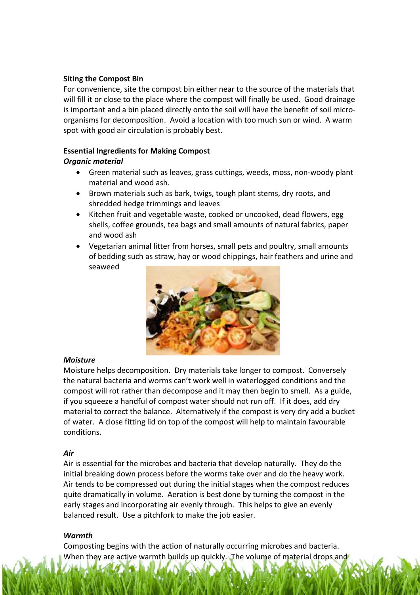# Siting the Compost Bin

For convenience, site the compost bin either near to the source of the materials that will fill it or close to the place where the compost will finally be used. Good drainage is important and a bin placed directly onto the soil will have the benefit of soil microorganisms for decomposition. Avoid a location with too much sun or wind. A warm spot with good air circulation is probably best.

# Essential Ingredients for Making Compost

# Organic material

- Green material such as leaves, grass cuttings, weeds, moss, non-woody plant material and wood ash.
- Brown materials such as bark, twigs, tough plant stems, dry roots, and shredded hedge trimmings and leaves
- Kitchen fruit and vegetable waste, cooked or uncooked, dead flowers, egg shells, coffee grounds, tea bags and small amounts of natural fabrics, paper and wood ash
- Vegetarian animal litter from horses, small pets and poultry, small amounts of bedding such as straw, hay or wood chippings, hair feathers and urine and seaweed



## Moisture

Moisture helps decomposition. Dry materials take longer to compost. Conversely the natural bacteria and worms can't work well in waterlogged conditions and the compost will rot rather than decompose and it may then begin to smell. As a guide, if you squeeze a handful of compost water should not run off. If it does, add dry material to correct the balance. Alternatively if the compost is very dry add a bucket of water. A close fitting lid on top of the compost will help to maintain favourable conditions.

# Air

Air is essential for the microbes and bacteria that develop naturally. They do the initial breaking down process before the worms take over and do the heavy work. Air tends to be compressed out during the initial stages when the compost reduces quite dramatically in volume. Aeration is best done by turning the compost in the early stages and incorporating air evenly through. This helps to give an evenly balanced result. Use a [pitchfork](http://www.recycleworks.co.uk/compost-pitchfork-c-249-p-1-pr-16158.html) to make the job easier.

## **Warmth**

Composting begins with the action of naturally occurring microbes and bacteria. When they are active warmth builds up quickly. The volume of material drops and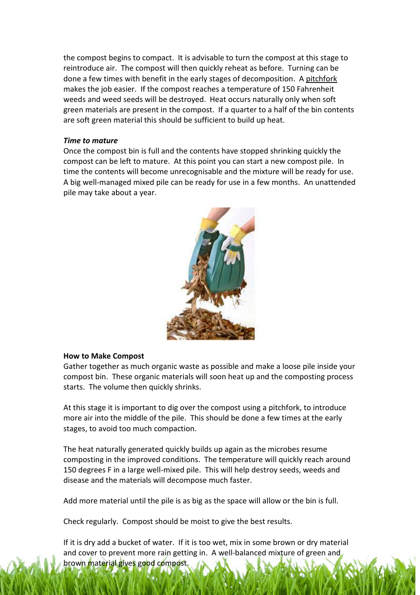the compost begins to compact. It is advisable to turn the compost at this stage to reintroduce air. The compost will then quickly reheat as before. Turning can be done a few times with benefit in the early stages of decomposition. A [pitchfork](http://www.recycleworks.co.uk/compost-pitchfork-c-249-p-1-pr-16158.html) makes the job easier. If the compost reaches a temperature of 150 Fahrenheit weeds and weed seeds will be destroyed. Heat occurs naturally only when soft green materials are present in the compost. If a quarter to a half of the bin contents are soft green material this should be sufficient to build up heat.

#### Time to mature

Once the compost bin is full and the contents have stopped shrinking quickly the compost can be left to mature. At this point you can start a new compost pile. In time the contents will become unrecognisable and the mixture will be ready for use. A big well-managed mixed pile can be ready for use in a few months. An unattended pile may take about a year.



#### How to Make Compost

Gather together as much organic waste as possible and make a loose pile inside your compost bin. These organic materials will soon heat up and the composting process starts. The volume then quickly shrinks.

At this stage it is important to dig over the compost using a pitchfork, to introduce more air into the middle of the pile. This should be done a few times at the early stages, to avoid too much compaction.

The heat naturally generated quickly builds up again as the microbes resume composting in the improved conditions. The temperature will quickly reach around 150 degrees F in a large well-mixed pile. This will help destroy seeds, weeds and disease and the materials will decompose much faster.

Add more material until the pile is as big as the space will allow or the bin is full.

Check regularly. Compost should be moist to give the best results.

If it is dry add a bucket of water. If it is too wet, mix in some brown or dry material and cover to prevent more rain getting in. A well-balanced mixture of green and brown material gives good compost.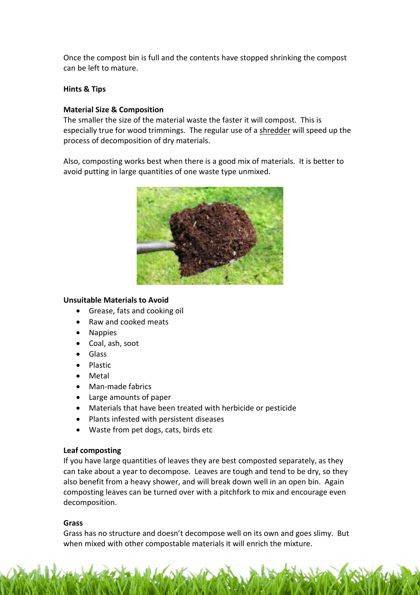Once the compost bin is full and the contents have stopped shrinking the compost can be left to mature.

# Hints & Tips

# Material Size & Composition

The smaller the size of the material waste the faster it will compost. This is especially true for wood trimmings. The regular use of a [shredder](http://www.recycleworks.co.uk/scheppach-lonos-2-shredder-40mm-c-257-p-1-pr-16164.html) will speed up the process of decomposition of dry materials.

Also, composting works best when there is a good mix of materials. It is better to avoid putting in large quantities of one waste type unmixed.



## Unsuitable Materials to Avoid

- Grease, fats and cooking oil
- Raw and cooked meats
- Nappies
- Coal, ash, soot
- Glass
- Plastic
- Metal
- Man-made fabrics
- Large amounts of paper
- Materials that have been treated with herbicide or pesticide
- Plants infested with persistent diseases
- Waste from pet dogs, cats, birds etc

## Leaf composting

If you have large quantities of leaves they are best composted separately, as they can take about a year to decompose. Leaves are tough and tend to be dry, so they also benefit from a heavy shower, and will break down well in an open bin. Again composting leaves can be turned over with a pitchfork to mix and encourage even decomposition.

## **Grass**

Grass has no structure and doesn't decompose well on its own and goes slimy. But when mixed with other compostable materials it will enrich the mixture.